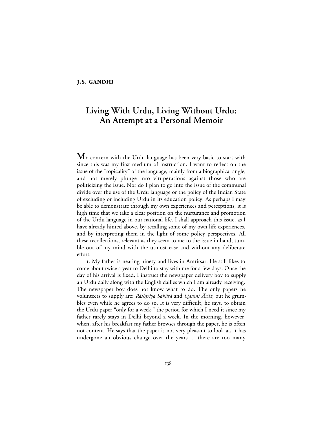# **J.S. GANDHI**

# **Living With Urdu, Living Without Urdu: An Attempt at a Personal Memoir**

M<sub>Y</sub> concern with the Urdu language has been very basic to start with since this was my first medium of instruction. I want to reflect on the issue of the "topicality" of the language, mainly from a biographical angle, and not merely plunge into vituperations against those who are politicizing the issue. Nor do I plan to go into the issue of the communal divide over the use of the Urdu language or the policy of the Indian State of excluding or including Urdu in its education policy. As perhaps I may be able to demonstrate through my own experiences and perceptions, it is high time that we take a clear position on the nurturance and promotion of the Urdu language in our national life. I shall approach this issue, as I have already hinted above, by recalling some of my own life experiences, and by interpreting them in the light of some policy perspectives. All these recollections, relevant as they seem to me to the issue in hand, tumble out of my mind with the utmost ease and without any deliberate effort.

. My father is nearing ninety and lives in Amritsar. He still likes to come about twice a year to Delhi to stay with me for a few days. Once the day of his arrival is fixed, I instruct the newspaper delivery boy to supply an Urdu daily along with the English dailies which I am already receiving. The newspaper boy does not know what to do. The only papers he volunteers to supply are: Rāshtriya Sahārā and Qaumī Āvāz, but he grumbles even while he agrees to do so. It is very difficult, he says, to obtain the Urdu paper "only for a week," the period for which I need it since my father rarely stays in Delhi beyond a week. In the morning, however, when, after his breakfast my father browses through the paper, he is often not content. He says that the paper is not very pleasant to look at, it has undergone an obvious change over the years ... there are too many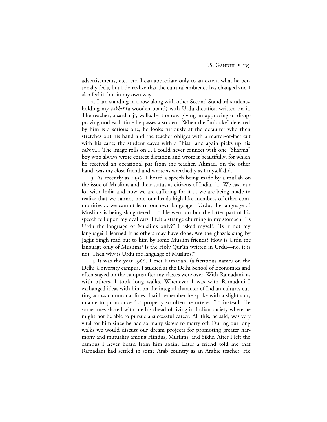advertisements, etc., etc. I can appreciate only to an extent what he personally feels, but I do realize that the cultural ambience has changed and I also feel it, but in my own way.

. I am standing in a row along with other Second Standard students, holding my takhtī (a wooden board) with Urdu dictation written on it. The teacher, a sardār-jī, walks by the row giving an approving or disapproving nod each time he passes a student. When the "mistake" detected by him is a serious one, he looks furiously at the defaulter who then stretches out his hand and the teacher obliges with a matter-of-fact cut with his cane; the student caves with a "hiss" and again picks up his takhti.... The image rolls on.... I could never connect with one "Sharma" boy who always wrote correct dictation and wrote it beautifully, for which he received an occasional pat from the teacher. Ahmad, on the other hand, was my close friend and wrote as wretchedly as I myself did.

3. As recently as 1996, I heard a speech being made by a mullah on the issue of Muslims and their status as citizens of India. "... We cast our lot with India and now we are suffering for it ... we are being made to realize that we cannot hold our heads high like members of other communities ... we cannot learn our own language—Urdu, the language of Muslims is being slaughtered ...." He went on but the latter part of his speech fell upon my deaf ears. I felt a strange churning in my stomach. "Is Urdu the language of Muslims only?" I asked myself. "Is it not my language? I learned it as others may have done. Are the ghazals sung by Jagjit Singh read out to him by some Muslim friends? How is Urdu the language only of Muslims? Is the Holy Qur'ān written in Urdu—no, it is not! Then why is Urdu the language of Muslims!"

4. It was the year 1966. I met Ramadani (a fictitious name) on the Delhi University campus. I studied at the Delhi School of Economics and often stayed on the campus after my classes were over. With Ramadani, as with others, I took long walks. Whenever I was with Ramadani I exchanged ideas with him on the integral character of Indian culture, cutting across communal lines. I still remember he spoke with a slight slur, unable to pronounce "k" properly so often he uttered "t" instead. He sometimes shared with me his dread of living in Indian society where he might not be able to pursue a successful career. All this, he said, was very vital for him since he had so many sisters to marry off. During our long walks we would discuss our dream projects for promoting greater harmony and mutuality among Hindus, Muslims, and Sikhs. After I left the campus I never heard from him again. Later a friend told me that Ramadani had settled in some Arab country as an Arabic teacher. He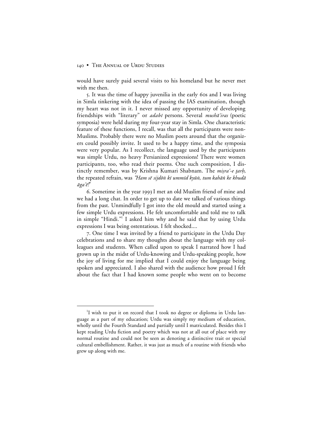would have surely paid several visits to his homeland but he never met with me then.

5. It was the time of happy juvenilia in the early 60s and I was living in Simla tinkering with the idea of passing the IAS examination, though my heart was not in it. I never missed any opportunity of developing friendships with "literary" or *adabī* persons. Several mushā'iras (poetic symposia) were held during my four-year stay in Simla. One characteristic feature of these functions, I recall, was that all the participants were non-Muslims. Probably there were no Muslim poets around that the organizers could possibly invite. It used to be a happy time, and the symposia were very popular. As I recollect, the language used by the participants was simple Urdu, no heavy Persianized expressions! There were women participants, too, who read their poems. One such composition, I distinctly remember, was by Krishna Kumari Shabnam. The *misra'-e tarh*, the repeated refrain, was "Ham sē sijdōn kī ummīd kyūn, tum kahān ke khudā ≥ga'®*!*"

6. Sometime in the year 1993 I met an old Muslim friend of mine and we had a long chat. In order to get up to date we talked of various things from the past. Unmindfully I got into the old mould and started using a few simple Urdu expressions. He felt uncomfortable and told me to talk in simple "Hindi."<sup>1</sup> I asked him why and he said that by using Urdu expressions I was being ostentatious. I felt shocked....

. One time I was invited by a friend to participate in the Urdu Day celebrations and to share my thoughts about the language with my colleagues and students. When called upon to speak I narrated how I had grown up in the midst of Urdu-knowing and Urdu-speaking people, how the joy of living for me implied that I could enjoy the language being spoken and appreciated. I also shared with the audience how proud I felt about the fact that I had known some people who went on to become

 $\overline{\phantom{a}}$ <sup>1</sup>I wish to put it on record that I took no degree or diploma in Urdu language as a part of my education; Urdu was simply my medium of education, wholly until the Fourth Standard and partially until I matriculated. Besides this I kept reading Urdu fiction and poetry which was not at all out of place with my normal routine and could not be seen as denoting a distinctive trait or special cultural embellishment. Rather, it was just as much of a routine with friends who grew up along with me.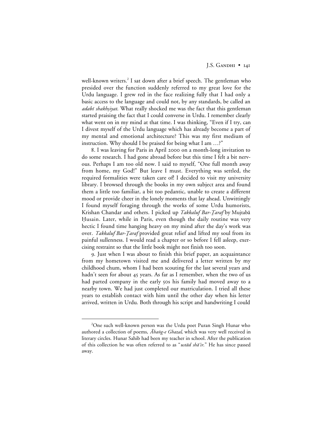well-known writers.<sup>2</sup> I sat down after a brief speech. The gentleman who presided over the function suddenly referred to my great love for the Urdu language. I grew red in the face realizing fully that I had only a basic access to the language and could not, by any standards, be called an adabī shakhsiyat. What really shocked me was the fact that this gentleman started praising the fact that I could converse in Urdu. I remember clearly what went on in my mind at that time. I was thinking, "Even if I try, can I divest myself of the Urdu language which has already become a part of my mental and emotional architecture? This was my first medium of instruction. Why should I be praised for being what I am …?"

8. I was leaving for Paris in April 2000 on a month-long invitation to do some research. I had gone abroad before but this time I felt a bit nervous. Perhaps I am too old now. I said to myself, "One full month away from home, my God!" But leave I must. Everything was settled, the required formalities were taken care of! I decided to visit my university library. I browsed through the books in my own subject area and found them a little too familiar, a bit too pedantic, unable to create a different mood or provide cheer in the lonely moments that lay ahead. Unwittingly I found myself foraging through the works of some Urdu humorists, Krishan Chandar and others. I picked up *Takkaluf Bar-Ţaraf* by Mujtabā Husain. Later, while in Paris, even though the daily routine was very hectic I found time hanging heavy on my mind after the day's work was over. Takkaluf Bar-Ţaraf provided great relief and lifted my soul from its painful sullenness. I would read a chapter or so before I fell asleep, exercising restraint so that the little book might not finish too soon.

. Just when I was about to finish this brief paper, an acquaintance from my hometown visited me and delivered a letter written by my childhood chum, whom I had been scouting for the last several years and hadn't seen for about 45 years. As far as I remember, when the two of us had parted company in the early 50s his family had moved away to a nearby town. We had just completed our matriculation. I tried all these years to establish contact with him until the other day when his letter arrived, written in Urdu. Both through his script and handwriting I could

 <sup>2</sup> <sup>2</sup>One such well-known person was the Urdu poet Puran Singh Hunar who authored a collection of poems,  $\bar{A}$ hang-e Ghazal, which was very well received in literary circles. Hunar Sahib had been my teacher in school. After the publication of this collection he was often referred to as "ustad sha'ir." He has since passed away.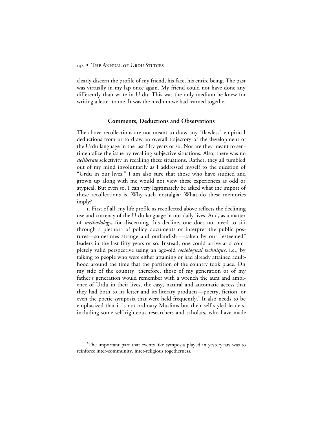clearly discern the profile of my friend, his face, his entire being. The past was virtually in my lap once again. My friend could not have done any differently than write in Urdu. This was the only medium he knew for writing a letter to me. It was the medium we had learned together.

#### **Comments, Deductions and Observations**

The above recollections are not meant to draw any "flawless" empirical deductions from or to draw an overall trajectory of the development of the Urdu language in the last fifty years or so. Nor are they meant to sentimentalize the issue by recalling subjective situations. Also, there was no *deliberate* selectivity in recalling these situations. Rather, they all tumbled out of my mind involuntarily as I addressed myself to the question of "Urdu in our lives." I am also sure that those who have studied and grown up along with me would not view these experiences as odd or atypical. But even so, I can very legitimately be asked what the import of these recollections is. Why such nostalgia? What do these memories imply?

. First of all, my life profile as recollected above reflects the declining use and currency of the Urdu language in our daily lives. And, as a matter of *methodology*, for discerning this decline, one does not need to sift through a plethora of policy documents or interpret the public postures—sometimes strange and outlandish —taken by our "esteemed" leaders in the last fifty years or so. Instead, one could arrive at a completely valid perspective using an age-old *sociological technique,* i.e., by talking to people who were either attaining or had already attained adulthood around the time that the partition of the country took place. On my side of the country, therefore, those of my generation or of my father's generation would remember with a wrench the aura and ambience of Urdu in their lives, the easy, natural and automatic access that they had both to its letter and its literary products—poetry, fiction, or even the poetic symposia that were held frequently.<sup>3</sup> It also needs to be emphasized that it is not ordinary Muslims but their self-styled leaders, including some self-righteous researchers and scholars, who have made

 $\frac{1}{3}$  $T^3$ The important part that events like symposia played in yesteryears was to reinforce inter-community, inter-religious togetherness.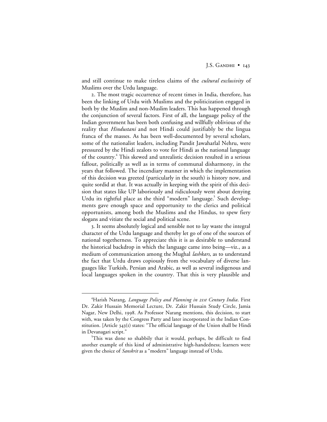and still continue to make tireless claims of the *cultural exclusivity* of Muslims over the Urdu language.

. The most tragic occurrence of recent times in India, therefore, has been the linking of Urdu with Muslims and the politicization engaged in both by the Muslim and non-Muslim leaders. This has happened through the conjunction of several factors. First of all, the language policy of the Indian government has been both confusing and willfully oblivious of the reality that *Hindustani* and not Hindi could justifiably be the lingua franca of the masses. As has been well-documented by several scholars, some of the nationalist leaders, including Pandit Jawaharlal Nehru, were pressured by the Hindi zealots to vote for Hindi as the national language of the country.4 This skewed and unrealistic decision resulted in a serious fallout, politically as well as in terms of communal disharmony, in the years that followed. The incendiary manner in which the implementation of this decision was greeted (particularly in the south) is history now, and quite sordid at that. It was actually in keeping with the spirit of this decision that states like UP laboriously and ridiculously went about denying Urdu its rightful place as the third "modern" language.<sup>5</sup> Such developments gave enough space and opportunity to the clerics and political opportunists, among both the Muslims and the Hindus, to spew fiery slogans and vitiate the social and political scene.

. It seems absolutely logical and sensible not to lay waste the integral character of the Urdu language and thereby let go of one of the sources of national togetherness. To appreciate this it is as desirable to understand the historical backdrop in which the language came into being—viz., as a medium of communication among the Mughal *lashkars*, as to understand the fact that Urdu draws copiously from the vocabulary of diverse languages like Turkish, Persian and Arabic, as well as several indigenous and local languages spoken in the country. That this is very plausible and

 $\overline{4}$ Harish Narang, *Language Policy and Planning in st Century India*. First Dr. Zakir Hussain Memorial Lecture, Dr. Zakir Hussain Study Circle, Jamia Nagar, New Delhi, 1998. As Professor Narang mentions, this decision, to start with, was taken by the Congress Party and later incorporated in the Indian Constitution. [Article  $343(i)$  states: "The official language of the Union shall be Hindi in Devanagari script."

<sup>5</sup> This was done so shabbily that it would, perhaps, be difficult to find another example of this kind of administrative high-handedness; learners were given the choice of *Sanskrit* as a "modern" language instead of Urdu.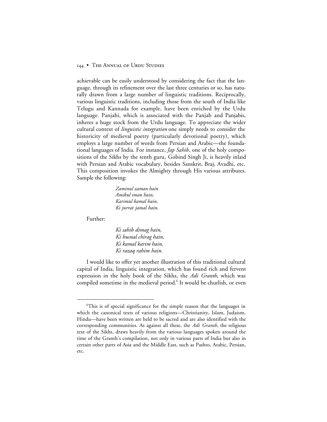achievable can be easily understood by considering the fact that the language, through its refinement over the last three centuries or so, has naturally drawn from a large number of linguistic traditions. Reciprocally, various linguistic traditions, including those from the south of India like Telugu and Kannada for example, have been enriched by the Urdu language. Panjabi, which is associated with the Panjab and Panjabis, inheres a huge stock from the Urdu language. To appreciate the wider cultural context of *linguistic integration* one simply needs to consider the historicity of medieval poetry (particularly devotional poetry), which employs a large number of words from Persian and Arabic—the foundational languages of India. For instance, *Jap Sahib*, one of the holy compositions of the Sikhs by the tenth guru, Gobind Singh Ji, is heavily inlaid with Persian and Arabic vocabulary, besides Sanskrit, Braj, Avadhi, etc. This composition invokes the Almighty through His various attributes. Sample the following:

> *Zaminul zaman hain Amikul iman hain, Karimul kamal hain, Ki jurrat jamal hain*.

Further:

*Ki sahib dimag hain, Ki husnal chirag hain, Ki kamal karim hain, Ki razaq rahim hain*.

I would like to offer yet another illustration of this traditional cultural capital of India, linguistic integration, which has found rich and fervent expression in the holy book of the Sikhs, the *Adi Granth*, which was compiled sometime in the medieval period.<sup>6</sup> It would be churlish, or even

 <sup>6</sup> This is of special significance for the simple reason that the languages in which the canonical texts of various religions—Christianity, Islam, Judaism, Hindu—have been written are held to be sacred and are also identified with the corresponding communities. As against all these, the *Adi Granth*, the religious text of the Sikhs, draws heavily from the various languages spoken around the time of the Granth's compilation, not only in various parts of India but also in certain other parts of Asia and the Middle East, such as Pashto, Arabic, Persian, etc.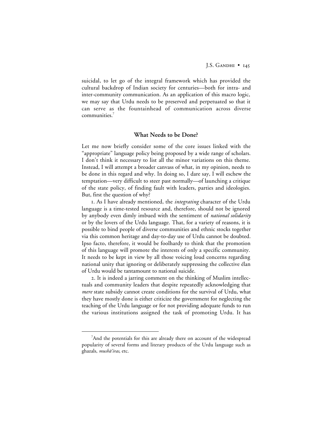suicidal, to let go of the integral framework which has provided the cultural backdrop of Indian society for centuries—both for intra- and inter-community communication. As an application of this macro logic, we may say that Urdu needs to be preserved and perpetuated so that it can serve as the fountainhead of communication across diverse communities.7

# **What Needs to be Done?**

Let me now briefly consider some of the core issues linked with the "appropriate" language policy being proposed by a wide range of scholars. I don't think it necessary to list all the minor variations on this theme. Instead, I will attempt a broader canvass of what, in my opinion, needs to be done in this regard and why. In doing so, I dare say, I will eschew the temptation—very difficult to steer past normally—of launching a critique of the state policy, of finding fault with leaders, parties and ideologies. But, first the question of why?

. As I have already mentioned, the *integrating* character of the Urdu language is a time-tested resource and, therefore, should not be ignored by anybody even dimly imbued with the sentiment of *national solidarity* or by the lovers of the Urdu language. That, for a variety of reasons, it is possible to bind people of diverse communities and ethnic stocks together via this common heritage and day-to-day use of Urdu cannot be doubted. Ipso facto, therefore, it would be foolhardy to think that the promotion of this language will promote the interests of only a specific community. It needs to be kept in view by all those voicing loud concerns regarding national unity that ignoring or deliberately suppressing the collective élan of Urdu would be tantamount to national suicide.

. It is indeed a jarring comment on the thinking of Muslim intellectuals and community leaders that despite repeatedly acknowledging that *mere* state subsidy cannot create conditions for the survival of Urdu, what they have mostly done is either criticize the government for neglecting the teaching of the Urdu language or for not providing adequate funds to run the various institutions assigned the task of promoting Urdu. It has

 $\frac{1}{7}$ <sup>7</sup>And the potentials for this are already there on account of the widespread popularity of several forms and literary products of the Urdu language such as ghazals, musha'iras, etc.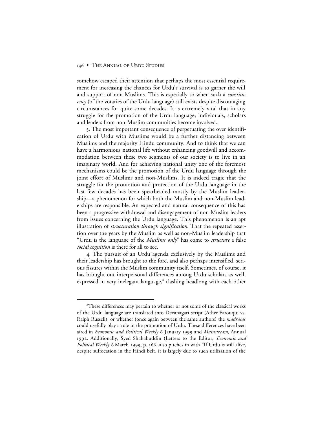somehow escaped their attention that perhaps the most essential requirement for increasing the chances for Urdu's survival is to garner the will and support of non-Muslims. This is especially so when such a *constituency* (of the votaries of the Urdu language) still exists despite discouraging circumstances for quite some decades. It is extremely vital that in any struggle for the promotion of the Urdu language, individuals, scholars and leaders from non-Muslim communities become involved.

. The most important consequence of perpetuating the over identification of Urdu with Muslims would be a further distancing between Muslims and the majority Hindu community. And to think that we can have a harmonious national life without enhancing goodwill and accommodation between these two segments of our society is to live in an imaginary world. And for achieving national unity one of the foremost mechanisms could be the promotion of the Urdu language through the joint effort of Muslims and non-Muslims. It is indeed tragic that the struggle for the promotion and protection of the Urdu language in the last few decades has been spearheaded mostly by the Muslim leadership—a phenomenon for which both the Muslim and non-Muslim leaderships are responsible. An expected and natural consequence of this has been a progressive withdrawal and disengagement of non-Muslim leaders from issues concerning the Urdu language. This phenomenon is an apt illustration of *structuration through signification*. That the repeated assertion over the years by the Muslim as well as non-Muslim leadership that "Urdu is the language of the *Muslims only*" has come to *structure* a false *social cognition* is there for all to see.

. The pursuit of an Urdu agenda exclusively by the Muslims and their leadership has brought to the fore, and also perhaps intensified, serious fissures within the Muslim community itself. Sometimes, of course, it has brought out interpersonal differences among Urdu scholars as well, expressed in very inelegant language, $\delta$  clashing headlong with each other

 <sup>8</sup> <sup>8</sup>These differences may pertain to whether or not some of the classical works of the Urdu language are translated into Devanagari script (Ather Farouqui vs. Ralph Russell), or whether (once again between the same authors) the *madrasas* could usefully play a role in the promotion of Urdu. These differences have been aired in *Economic and Political Weekly* 6 January 1999 and *Mainstream*, Annual . Additionally, Syed Shahabuddin (Letters to the Editor, *Economic and Political Weekly* 6 March 1999, p. 566, also pitches in with "If Urdu is still alive, despite suffocation in the Hindi belt, it is largely due to such utilization of the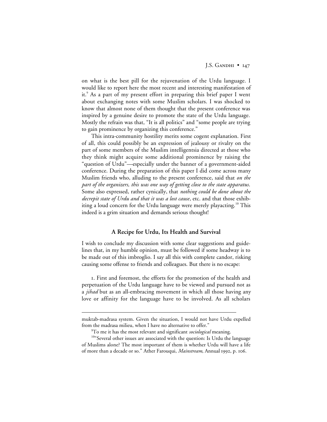J.S. GANDHI  $\bullet$  147

on what is the best pill for the rejuvenation of the Urdu language. I would like to report here the most recent and interesting manifestation of it.<sup>9</sup> As a part of my present effort in preparing this brief paper I went about exchanging notes with some Muslim scholars. I was shocked to know that almost none of them thought that the present conference was inspired by a genuine desire to promote the state of the Urdu language. Mostly the refrain was that, "It is all politics" and "some people are trying to gain prominence by organizing this conference."

This intra-community hostility merits some cogent explanation. First of all, this could possibly be an expression of jealousy or rivalry on the part of some members of the Muslim intelligentsia directed at those who they think might acquire some additional prominence by raising the "question of Urdu"—especially under the banner of a government-aided conference. During the preparation of this paper I did come across many Muslim friends who, alluding to the present conference, said that *on the part of the organizers, this was one way of getting close to the state apparatus*. Some also expressed, rather cynically, that *nothing could be done about the decrepit state of Urdu and that it was a lost cause*, etc. and that those exhibiting a loud concern for the Urdu language were merely playacting.<sup>10</sup> This indeed is a grim situation and demands serious thought!

# **A Recipe for Urdu, Its Health and Survival**

I wish to conclude my discussion with some clear suggestions and guidelines that, in my humble opinion, must be followed if some headway is to be made out of this imbroglio. I say all this with complete candor, risking causing some offense to friends and colleagues. But there is no escape:

. First and foremost, the efforts for the promotion of the health and perpetuation of the Urdu language have to be viewed and pursued not as a *jihad* but as an all-embracing movement in which all those having any love or affinity for the language have to be involved. As all scholars

 $\overline{a}$ 

muktab-madrasa system. Given the situation, I would not have Urdu expelled from the madrasa milieu, when I have no alternative to offer."

<sup>9</sup> To me it has the most relevant and significant *sociological* meaning.

<sup>10&</sup>quot;Several other issues are associated with the question: Is Urdu the language of Muslims alone? The most important of them is whether Urdu will have a life of more than a decade or so." Ather Farouqui, *Mainstream*, Annual 1992, p. 106.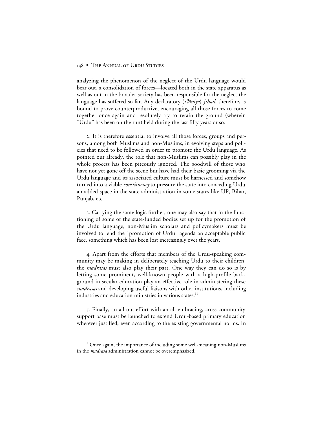analyzing the phenomenon of the neglect of the Urdu language would bear out, a consolidation of forces—located both in the state apparatus as well as out in the broader society has been responsible for the neglect the language has suffered so far. Any declaratory (*i'lāniya*) *jihad*, therefore, is bound to prove counterproductive, encouraging all those forces to come together once again and resolutely try to retain the ground (wherein "Urdu" has been on the run) held during the last fifty years or so.

. It is therefore essential to involve all those forces, groups and persons, among both Muslims and non-Muslims, in evolving steps and policies that need to be followed in order to promote the Urdu language. As pointed out already, the role that non-Muslims can possibly play in the whole process has been piteously ignored. The goodwill of those who have not yet gone off the scene but have had their basic grooming via the Urdu language and its associated culture must be harnessed and somehow turned into a viable *constituency* to pressure the state into conceding Urdu an added space in the state administration in some states like UP, Bihar, Punjab, etc.

. Carrying the same logic further, one may also say that in the functioning of some of the state-funded bodies set up for the promotion of the Urdu language, non-Muslim scholars and policymakers must be involved to lend the "promotion of Urdu" agenda an acceptable public face, something which has been lost increasingly over the years.

. Apart from the efforts that members of the Urdu-speaking community may be making in deliberately teaching Urdu to their children, the *madrasas* must also play their part. One way they can do so is by letting some prominent, well-known people with a high-profile background in secular education play an effective role in administering these *madrasas* and developing useful liaisons with other institutions, including industries and education ministries in various states.<sup>11</sup>

. Finally, an all-out effort with an all-embracing, cross community support base must be launched to extend Urdu-based primary education wherever justified, even according to the existing governmental norms. In

<sup>&</sup>lt;sup>11</sup>Once again, the importance of including some well-meaning non-Muslims in the *madrasa* administration cannot be overemphasized.